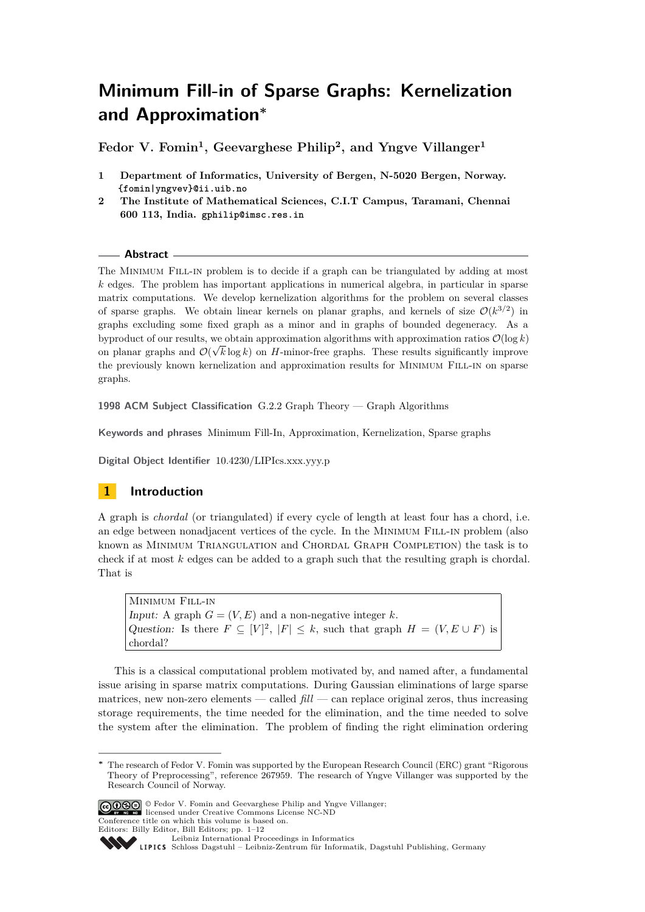# <span id="page-0-0"></span>**Minimum Fill-in of Sparse Graphs: Kernelization and Approximation<sup>∗</sup>**

**Fedor V. Fomin<sup>1</sup> , Geevarghese Philip<sup>2</sup> , and Yngve Villanger<sup>1</sup>**

- **1 Department of Informatics, University of Bergen, N-5020 Bergen, Norway. {fomin|yngvev}@ii.uib.no**
- **2 The Institute of Mathematical Sciences, C.I.T Campus, Taramani, Chennai 600 113, India. gphilip@imsc.res.in**

### **Abstract**

The MINIMUM FILL-IN problem is to decide if a graph can be triangulated by adding at most *k* edges. The problem has important applications in numerical algebra, in particular in sparse matrix computations. We develop kernelization algorithms for the problem on several classes of sparse graphs. We obtain linear kernels on planar graphs, and kernels of size  $\mathcal{O}(k^{3/2})$  in graphs excluding some fixed graph as a minor and in graphs of bounded degeneracy. As a byproduct of our results, we obtain approximation algorithms with approximation ratios  $\mathcal{O}(\log k)$ on planar graphs and  $\mathcal{O}(\sqrt{k} \log k)$  on *H*-minor-free graphs. These results significantly improve the previously known kernelization and approximation results for Minimum Fill-in on sparse graphs.

**1998 ACM Subject Classification** G.2.2 Graph Theory — Graph Algorithms

**Keywords and phrases** Minimum Fill-In, Approximation, Kernelization, Sparse graphs

**Digital Object Identifier** [10.4230/LIPIcs.xxx.yyy.p](http://dx.doi.org/10.4230/LIPIcs.xxx.yyy.p)



A graph is *chordal* (or triangulated) if every cycle of length at least four has a chord, i.e. an edge between nonadjacent vertices of the cycle. In the Minimum Fill-in problem (also known as Minimum Triangulation and Chordal Graph Completion) the task is to check if at most *k* edges can be added to a graph such that the resulting graph is chordal. That is

Minimum Fill-in Input: A graph  $G = (V, E)$  and a non-negative integer k. Question: Is there  $F \subseteq [V]^2$ ,  $|F| \leq k$ , such that graph  $H = (V, E \cup F)$  is chordal?

This is a classical computational problem motivated by, and named after, a fundamental issue arising in sparse matrix computations. During Gaussian eliminations of large sparse matrices, new non-zero elements — called *fill* — can replace original zeros, thus increasing storage requirements, the time needed for the elimination, and the time needed to solve the system after the elimination. The problem of finding the right elimination ordering

© Fedor V. Fomin and Geevarghese Philip and Yngve Villanger; licensed under Creative Commons License NC-ND

Conference title on which this volume is based on. Editors: Billy Editor, Bill Editors; pp. 1[–12](#page-11-0)

Leibniz International Froceedings in Informatik, Dagstuhl Publishing, Germany<br>LIPICS [Schloss Dagstuhl – Leibniz-Zentrum für Informatik, Dagstuhl Publishing, Germany](http://www.dagstuhl.de)

**<sup>∗</sup>** The research of Fedor V. Fomin was supported by the European Research Council (ERC) grant "Rigorous Theory of Preprocessing", reference 267959. The research of Yngve Villanger was supported by the Research Council of Norway.

[Leibniz International Proceedings in Informatics](http://www.dagstuhl.de/lipics/)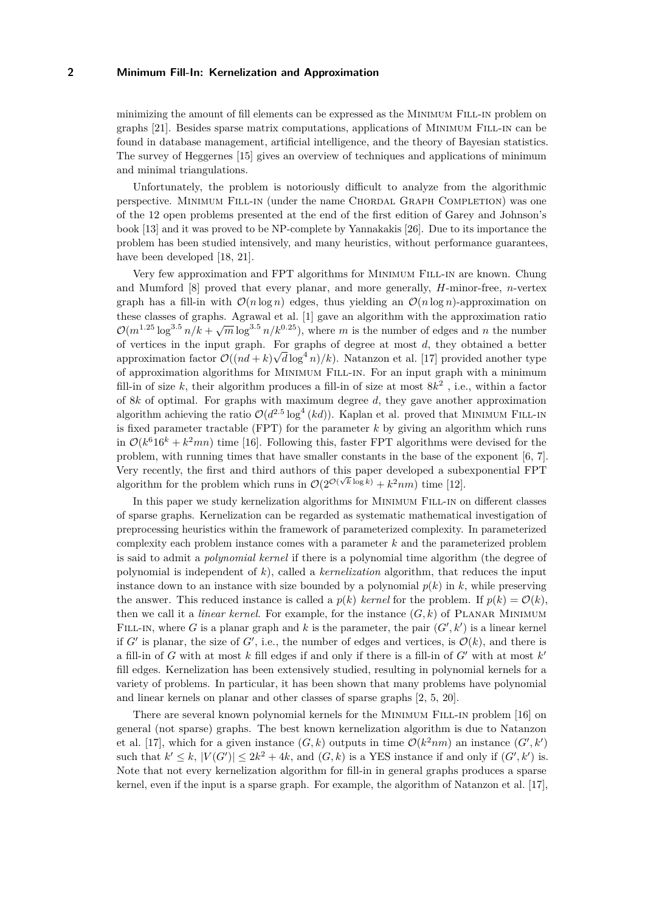minimizing the amount of fill elements can be expressed as the Minimum Fill-in problem on graphs [\[21\]](#page-11-1). Besides sparse matrix computations, applications of Minimum Fill-in can be found in database management, artificial intelligence, and the theory of Bayesian statistics. The survey of Heggernes [\[15\]](#page-11-2) gives an overview of techniques and applications of minimum and minimal triangulations.

Unfortunately, the problem is notoriously difficult to analyze from the algorithmic perspective. MINIMUM FILL-IN (under the name CHORDAL GRAPH COMPLETION) was one of the 12 open problems presented at the end of the first edition of Garey and Johnson's book [\[13\]](#page-11-3) and it was proved to be NP-complete by Yannakakis [\[26\]](#page-11-4). Due to its importance the problem has been studied intensively, and many heuristics, without performance guarantees, have been developed [\[18,](#page-11-5) [21\]](#page-11-1).

Very few approximation and FPT algorithms for Minimum Fill-in are known. Chung and Mumford [\[8\]](#page-11-6) proved that every planar, and more generally, *H*-minor-free, *n*-vertex graph has a fill-in with  $\mathcal{O}(n \log n)$  edges, thus yielding an  $\mathcal{O}(n \log n)$ -approximation on these classes of graphs. Agrawal et al. [\[1\]](#page-10-0) gave an algorithm with the approximation ratio  $\mathcal{O}(m^{1.25} \log^{3.5} n/k + \sqrt{m} \log^{3.5} n/k^{0.25})$ , where *m* is the number of edges and *n* the number of vertices in the input graph. For graphs of degree at most  $d$ , they obtained a better approximation factor  $\mathcal{O}((nd+k)\sqrt{d}\log^4 n)/k$ ). Natanzon et al. [\[17\]](#page-11-7) provided another type of approximation algorithms for Minimum Fill-in. For an input graph with a minimum fill-in of size *k*, their algorithm produces a fill-in of size at most 8*k* 2 , i.e., within a factor of 8*k* of optimal. For graphs with maximum degree *d*, they gave another approximation algorithm achieving the ratio  $\mathcal{O}(d^{2.5} \log^4 (kd))$ . Kaplan et al. proved that MINIMUM FILL-IN is fixed parameter tractable (FPT) for the parameter *k* by giving an algorithm which runs in  $\mathcal{O}(k^6 16^k + k^2 mn)$  time [\[16\]](#page-11-8). Following this, faster FPT algorithms were devised for the problem, with running times that have smaller constants in the base of the exponent [\[6,](#page-10-1) [7\]](#page-11-9). Very recently, the first and third authors of this paper developed a subexponential FPT algorithm for the problem which runs in  $\mathcal{O}(2^{\mathcal{O}(\sqrt{k}\log k)} + k^2 nm)$  time [\[12\]](#page-11-10).

In this paper we study kernelization algorithms for MINIMUM FILL-IN on different classes of sparse graphs. Kernelization can be regarded as systematic mathematical investigation of preprocessing heuristics within the framework of parameterized complexity. In parameterized complexity each problem instance comes with a parameter *k* and the parameterized problem is said to admit a *polynomial kernel* if there is a polynomial time algorithm (the degree of polynomial is independent of *k*), called a *kernelization* algorithm, that reduces the input instance down to an instance with size bounded by a polynomial  $p(k)$  in  $k$ , while preserving the answer. This reduced instance is called a  $p(k)$  *kernel* for the problem. If  $p(k) = \mathcal{O}(k)$ , then we call it a *linear kernel*. For example, for the instance  $(G, k)$  of PLANAR MINIMUM FILL-IN, where *G* is a planar graph and *k* is the parameter, the pair  $(G', k')$  is a linear kernel if *G'* is planar, the size of *G'*, i.e., the number of edges and vertices, is  $\mathcal{O}(k)$ , and there is a fill-in of *G* with at most  $k$  fill edges if and only if there is a fill-in of  $G'$  with at most  $k'$ fill edges. Kernelization has been extensively studied, resulting in polynomial kernels for a variety of problems. In particular, it has been shown that many problems have polynomial and linear kernels on planar and other classes of sparse graphs [\[2,](#page-10-2) [5,](#page-10-3) [20\]](#page-11-11).

There are several known polynomial kernels for the Minimum Fill-in problem [\[16\]](#page-11-8) on general (not sparse) graphs. The best known kernelization algorithm is due to Natanzon et al. [\[17\]](#page-11-7), which for a given instance  $(G, k)$  outputs in time  $\mathcal{O}(k^2 nm)$  an instance  $(G', k')$ such that  $k' \leq k$ ,  $|V(G')| \leq 2k^2 + 4k$ , and  $(G, k)$  is a YES instance if and only if  $(G', k')$  is. Note that not every kernelization algorithm for fill-in in general graphs produces a sparse kernel, even if the input is a sparse graph. For example, the algorithm of Natanzon et al. [\[17\]](#page-11-7),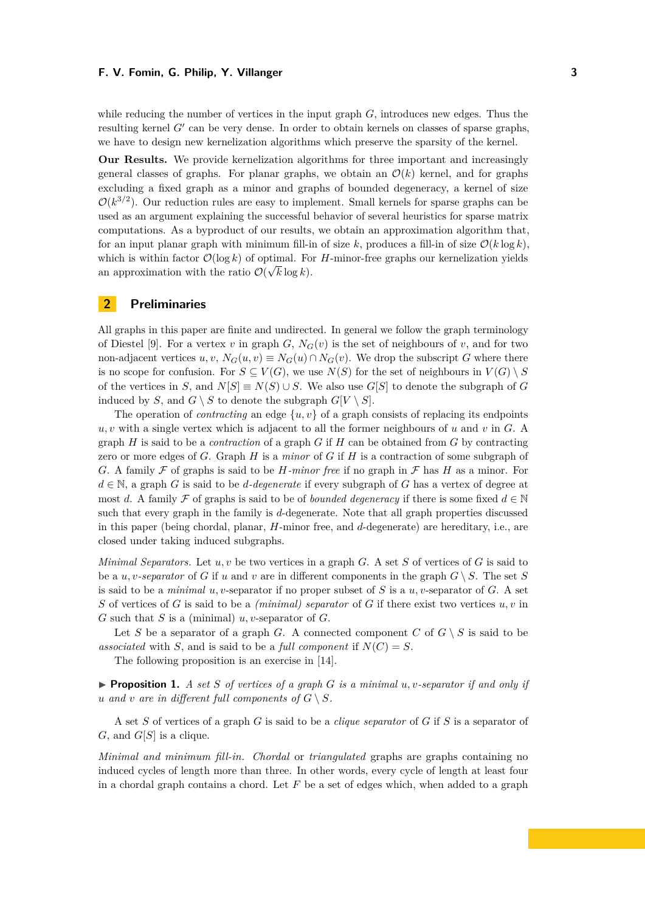while reducing the number of vertices in the input graph *G*, introduces new edges. Thus the resulting kernel  $G'$  can be very dense. In order to obtain kernels on classes of sparse graphs, we have to design new kernelization algorithms which preserve the sparsity of the kernel.

**Our Results.** We provide kernelization algorithms for three important and increasingly general classes of graphs. For planar graphs, we obtain an  $\mathcal{O}(k)$  kernel, and for graphs excluding a fixed graph as a minor and graphs of bounded degeneracy, a kernel of size  $\mathcal{O}(k^{3/2})$ . Our reduction rules are easy to implement. Small kernels for sparse graphs can be used as an argument explaining the successful behavior of several heuristics for sparse matrix computations. As a byproduct of our results, we obtain an approximation algorithm that, for an input planar graph with minimum fill-in of size  $k$ , produces a fill-in of size  $\mathcal{O}(k \log k)$ . which is within factor  $\mathcal{O}(\log k)$  of optimal. For *H*-minor-free graphs our kernelization yields an approximation with the ratio  $\mathcal{O}(\sqrt{k} \log k)$ .

## **2 Preliminaries**

All graphs in this paper are finite and undirected. In general we follow the graph terminology of Diestel [\[9\]](#page-11-12). For a vertex *v* in graph *G*,  $N_G(v)$  is the set of neighbours of *v*, and for two non-adjacent vertices  $u, v, N_G(u, v) \equiv N_G(u) \cap N_G(v)$ . We drop the subscript *G* where there is no scope for confusion. For  $S \subseteq V(G)$ , we use  $N(S)$  for the set of neighbours in  $V(G) \setminus S$ of the vertices in *S*, and  $N[S] \equiv N(S) \cup S$ . We also use  $G[S]$  to denote the subgraph of *G* induced by *S*, and  $G \setminus S$  to denote the subgraph  $G[V \setminus S]$ .

The operation of *contracting* an edge  $\{u, v\}$  of a graph consists of replacing its endpoints *u, v* with a single vertex which is adjacent to all the former neighbours of *u* and *v* in *G*. A graph *H* is said to be a *contraction* of a graph *G* if *H* can be obtained from *G* by contracting zero or more edges of *G*. Graph *H* is a *minor* of *G* if *H* is a contraction of some subgraph of *G*. A family  $\mathcal F$  of graphs is said to be *H-minor free* if no graph in  $\mathcal F$  has *H* as a minor. For *d* ∈ N, a graph *G* is said to be *d-degenerate* if every subgraph of *G* has a vertex of degree at most *d*. A family F of graphs is said to be of *bounded degeneracy* if there is some fixed  $d \in \mathbb{N}$ such that every graph in the family is *d*-degenerate. Note that all graph properties discussed in this paper (being chordal, planar, *H*-minor free, and *d*-degenerate) are hereditary, i.e., are closed under taking induced subgraphs.

*Minimal Separators.* Let *u, v* be two vertices in a graph *G*. A set *S* of vertices of *G* is said to be a *u, v*-separator of *G* if *u* and *v* are in different components in the graph  $G \setminus S$ . The set *S* is said to be a *minimal u, v*-separator if no proper subset of *S* is a *u, v*-separator of *G*. A set *S* of vertices of *G* is said to be a *(minimal) separator* of *G* if there exist two vertices *u, v* in *G* such that *S* is a (minimal) *u, v*-separator of *G*.

Let *S* be a separator of a graph *G*. A connected component *C* of  $G \setminus S$  is said to be associated with *S*, and is said to be a *full component* if  $N(C) = S$ .

The following proposition is an exercise in [\[14\]](#page-11-13).

<span id="page-2-0"></span>**Proposition 1.** *A set S* of vertices of a graph *G* is a minimal  $u, v$ -separator if and only if *u* and *v* are in different full components of  $G \setminus S$ .

A set *S* of vertices of a graph *G* is said to be a *clique separator* of *G* if *S* is a separator of  $G$ , and  $G[S]$  is a clique.

*Minimal and minimum fill-in. Chordal* or *triangulated* graphs are graphs containing no induced cycles of length more than three. In other words, every cycle of length at least four in a chordal graph contains a chord. Let *F* be a set of edges which, when added to a graph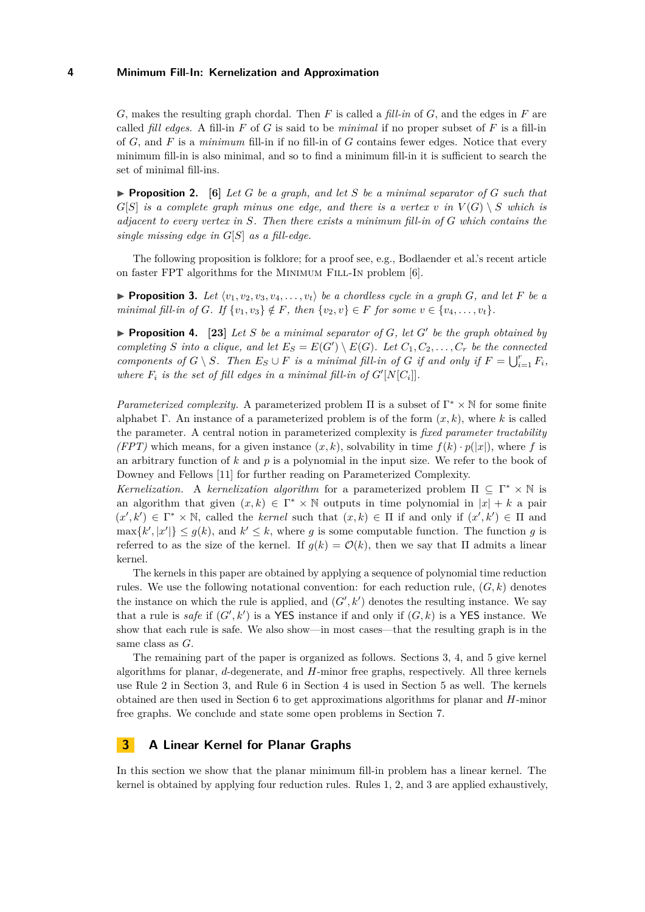*G*, makes the resulting graph chordal. Then *F* is called a *fill-in* of *G*, and the edges in *F* are called *fill edges*. A fill-in  $F$  of  $G$  is said to be *minimal* if no proper subset of  $F$  is a fill-in of *G*, and *F* is a *minimum* fill-in if no fill-in of *G* contains fewer edges. Notice that every minimum fill-in is also minimal, and so to find a minimum fill-in it is sufficient to search the set of minimal fill-ins.

<span id="page-3-3"></span>**Proposition 2.** [\[6\]](#page-10-1) Let G be a graph, and let S be a minimal separator of G such that *G*[*S*] *is a complete graph minus one edge, and there is a vertex*  $v$  *<i>in*  $V(G) \setminus S$  *which is adjacent to every vertex in S. Then there exists a minimum fill-in of G which contains the single missing edge in G*[*S*] *as a fill-edge.*

The following proposition is folklore; for a proof see, e.g., Bodlaender et al.'s recent article on faster FPT algorithms for the MINIMUM FILL-IN problem [\[6\]](#page-10-1).

<span id="page-3-2"></span>**Proposition 3.** Let  $\langle v_1, v_2, v_3, v_4, \ldots, v_t \rangle$  be a chordless cycle in a graph *G*, and let *F* be a *minimal fill-in of G. If*  $\{v_1, v_3\} \notin F$ *, then*  $\{v_2, v\} \in F$  *for some*  $v \in \{v_4, \ldots, v_t\}$ *.* 

<span id="page-3-1"></span>**Proposition 4.** [\[23\]](#page-11-14) Let S be a minimal separator of  $G$ , let  $G'$  be the graph obtained by *completing S into a clique, and let*  $E_S = E(G') \setminus E(G)$ *. Let*  $C_1, C_2, \ldots, C_r$  *be the connected components of*  $G \setminus S$ *. Then*  $E_S \cup F$  *is a minimal fill-in of*  $G$  *if and only if*  $F = \bigcup_{i=1}^r F_i$ *, where*  $F_i$  *is the set of fill edges in a minimal fill-in of*  $G'[N[C_i]]$ *.* 

*Parameterized complexity.* A parameterized problem  $\Pi$  is a subset of  $\Gamma^* \times \mathbb{N}$  for some finite alphabet Γ. An instance of a parameterized problem is of the form (*x, k*), where *k* is called the parameter. A central notion in parameterized complexity is *fixed parameter tractability (FPT)* which means, for a given instance  $(x, k)$ , solvability in time  $f(k) \cdot p(|x|)$ , where f is an arbitrary function of *k* and *p* is a polynomial in the input size. We refer to the book of Downey and Fellows [\[11\]](#page-11-15) for further reading on Parameterized Complexity.

*Kernelization.* A *kernelization algorithm* for a parameterized problem  $\Pi \subseteq \Gamma^* \times \mathbb{N}$  is an algorithm that given  $(x, k) \in \Gamma^* \times \mathbb{N}$  outputs in time polynomial in  $|x| + k$  a pair  $(x', k') \in \Gamma^* \times \mathbb{N}$ , called the *kernel* such that  $(x, k) \in \Pi$  if and only if  $(x', k') \in \Pi$  and  $\max\{k', |x'|\} \leq g(k)$ , and  $k' \leq k$ , where *g* is some computable function. The function *g* is referred to as the size of the kernel. If  $g(k) = \mathcal{O}(k)$ , then we say that  $\Pi$  admits a linear kernel.

The kernels in this paper are obtained by applying a sequence of polynomial time reduction rules. We use the following notational convention: for each reduction rule,  $(G, k)$  denotes the instance on which the rule is applied, and  $(G', k')$  denotes the resulting instance. We say that a rule is *safe* if  $(G', k')$  is a YES instance if and only if  $(G, k)$  is a YES instance. We show that each rule is safe. We also show—in most cases—that the resulting graph is in the same class as *G*.

The remaining part of the paper is organized as follows. Sections [3,](#page-3-0) [4,](#page-6-0) and [5](#page-9-0) give kernel algorithms for planar, *d*-degenerate, and *H*-minor free graphs, respectively. All three kernels use Rule [2](#page-4-0) in Section [3,](#page-3-0) and Rule [6](#page-7-0) in Section [4](#page-6-0) is used in Section [5](#page-9-0) as well. The kernels obtained are then used in Section [6](#page-9-1) to get approximations algorithms for planar and *H*-minor free graphs. We conclude and state some open problems in Section [7.](#page-10-4)

### <span id="page-3-0"></span>**3 A Linear Kernel for Planar Graphs**

In this section we show that the planar minimum fill-in problem has a linear kernel. The kernel is obtained by applying four reduction rules. Rules [1,](#page-4-1) [2,](#page-4-0) and [3](#page-5-0) are applied exhaustively,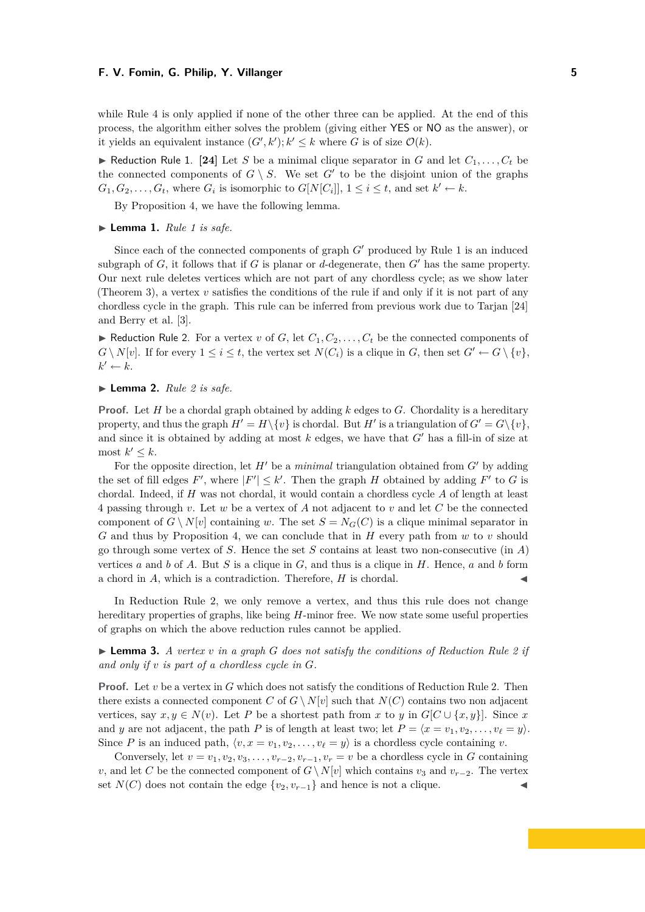while Rule [4](#page-5-1) is only applied if none of the other three can be applied. At the end of this process, the algorithm either solves the problem (giving either YES or NO as the answer), or it yields an equivalent instance  $(G', k'); k' \leq k$  where *G* is of size  $\mathcal{O}(k)$ .

<span id="page-4-1"></span>Reduction Rule 1. [\[24\]](#page-11-16) Let *S* be a minimal clique separator in *G* and let  $C_1, \ldots, C_t$  be the connected components of  $G \setminus S$ . We set  $G'$  to be the disjoint union of the graphs  $G_1, G_2, \ldots, G_t$ , where  $G_i$  is isomorphic to  $G[N[C_i]], 1 \le i \le t$ , and set  $k' \leftarrow k$ .

By Proposition [4,](#page-3-1) we have the following lemma.

<span id="page-4-3"></span> $\blacktriangleright$  **Lemma [1](#page-4-1).** *Rule 1 is safe.* 

Since each of the connected components of graph  $G'$  produced by Rule [1](#page-4-1) is an induced subgraph of  $G$ , it follows that if  $G$  is planar or  $d$ -degenerate, then  $G'$  has the same property. Our next rule deletes vertices which are not part of any chordless cycle; as we show later [\(Theorem 3\)](#page-4-2), a vertex  $v$  satisfies the conditions of the rule if and only if it is not part of any chordless cycle in the graph. This rule can be inferred from previous work due to Tarjan [\[24\]](#page-11-16) and Berry et al. [\[3\]](#page-10-5).

<span id="page-4-0"></span> $\blacktriangleright$  Reduction Rule 2. For a vertex *v* of *G*, let  $C_1, C_2, \ldots, C_t$  be the connected components of  $G \setminus N[v]$ . If for every  $1 \leq i \leq t$ , the vertex set  $N(C_i)$  is a clique in *G*, then set  $G' \leftarrow G \setminus \{v\}$ ,  $k' \leftarrow k$ .

#### $\blacktriangleright$  **Lemma [2](#page-4-0).** *Rule* 2 *is safe.*

**Proof.** Let *H* be a chordal graph obtained by adding *k* edges to *G*. Chordality is a hereditary property, and thus the graph  $H' = H \setminus \{v\}$  is chordal. But  $H'$  is a triangulation of  $G' = G \setminus \{v\}$ , and since it is obtained by adding at most  $k$  edges, we have that  $G'$  has a fill-in of size at most  $k' \leq k$ .

For the opposite direction, let  $H'$  be a *minimal* triangulation obtained from  $G'$  by adding the set of fill edges F', where  $|F'| \leq k'$ . Then the graph *H* obtained by adding F' to G is chordal. Indeed, if *H* was not chordal, it would contain a chordless cycle *A* of length at least 4 passing through *v*. Let *w* be a vertex of *A* not adjacent to *v* and let *C* be the connected component of  $G \setminus N[v]$  containing *w*. The set  $S = N_G(C)$  is a clique minimal separator in *G* and thus by Proposition [4,](#page-3-1) we can conclude that in *H* every path from *w* to *v* should go through some vertex of *S*. Hence the set *S* contains at least two non-consecutive (in *A*) vertices *a* and *b* of *A*. But *S* is a clique in *G*, and thus is a clique in *H*. Hence, *a* and *b* form a chord in *A*, which is a contradiction. Therefore, *H* is chordal.

In [Reduction Rule 2,](#page-4-0) we only remove a vertex, and thus this rule does not change hereditary properties of graphs, like being *H*-minor free. We now state some useful properties of graphs on which the above reduction rules cannot be applied.

<span id="page-4-2"></span> $\triangleright$  **Lemma 3.** *A vertex v in a graph G does not satisfy the conditions of [Reduction Rule 2](#page-4-0) if and only if v is part of a chordless cycle in G.*

**Proof.** Let *v* be a vertex in *G* which does not satisfy the conditions of [Reduction Rule 2.](#page-4-0) Then there exists a connected component *C* of  $G \setminus N[v]$  such that  $N(C)$  contains two non adjacent vertices, say  $x, y \in N(v)$ . Let *P* be a shortest path from *x* to *y* in  $G[C \cup \{x, y\}]$ . Since *x* and *y* are not adjacent, the path *P* is of length at least two; let  $P = \langle x = v_1, v_2, \ldots, v_\ell = y \rangle$ . Since *P* is an induced path,  $\langle v, x = v_1, v_2, \dots, v_\ell = y \rangle$  is a chordless cycle containing *v*.

Conversely, let  $v = v_1, v_2, v_3, \ldots, v_{r-2}, v_{r-1}, v_r = v$  be a chordless cycle in *G* containing *v*, and let *C* be the connected component of  $G \setminus N[v]$  which contains  $v_3$  and  $v_{r-2}$ . The vertex set  $N(C)$  does not contain the edge  $\{v_2, v_{r-1}\}\$  and hence is not a clique.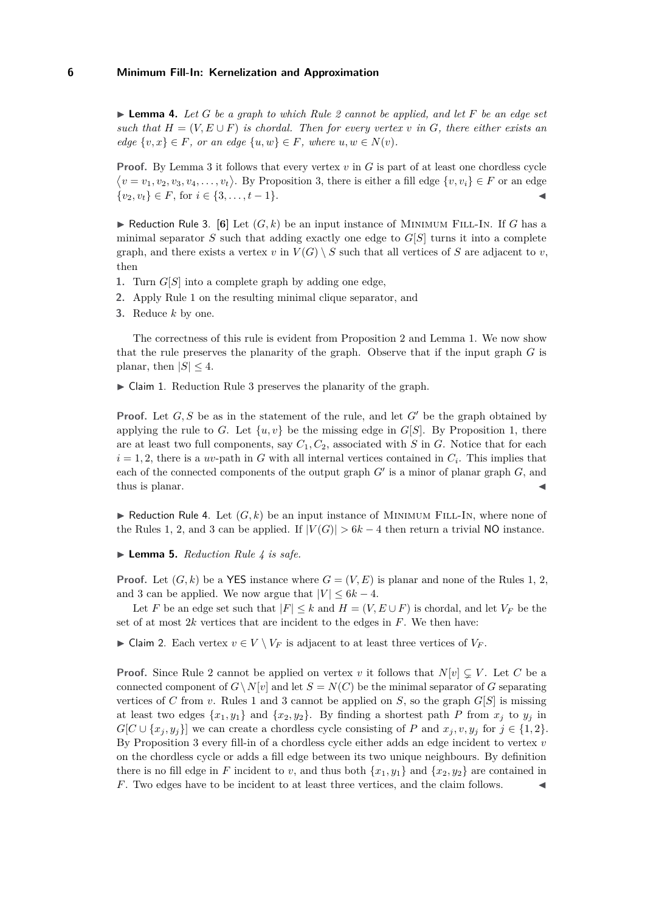<span id="page-5-3"></span>I **Lemma 4.** *Let G be a graph to which Rule [2](#page-4-0) cannot be applied, and let F be an edge set such that*  $H = (V, E \cup F)$  *is chordal. Then for every vertex v in G, there either exists an*  $edge \{v, x\} \in F$ , or an edge  $\{u, w\} \in F$ , where  $u, w \in N(v)$ .

**Proof.** By Lemma [3](#page-4-2) it follows that every vertex *v* in *G* is part of at least one chordless cycle  $\langle v = v_1, v_2, v_3, v_4, \ldots, v_t \rangle$ . By Proposition [3,](#page-3-2) there is either a fill edge  $\{v, v_i\} \in F$  or an edge  $\{v_2, v_t\} \in F$ , for  $i \in \{3, \ldots, t-1\}$ .

<span id="page-5-0"></span> $\blacktriangleright$  Reduction Rule 3. [\[6\]](#page-10-1) Let  $(G, k)$  be an input instance of MINIMUM FILL-IN. If *G* has a minimal separator *S* such that adding exactly one edge to  $G[S]$  turns it into a complete graph, and there exists a vertex *v* in  $V(G) \setminus S$  such that all vertices of *S* are adjacent to *v*, then

- **1.** Turn *G*[*S*] into a complete graph by adding one edge,
- **2.** Apply Rule [1](#page-4-1) on the resulting minimal clique separator, and
- **3.** Reduce *k* by one.

The correctness of this rule is evident from Proposition [2](#page-3-3) and Lemma [1.](#page-4-3) We now show that the rule preserves the planarity of the graph. Observe that if the input graph *G* is planar, then  $|S| \leq 4$ .

 $\triangleright$  Claim 1. [Reduction Rule 3](#page-5-0) preserves the planarity of the graph.

**Proof.** Let  $G, S$  be as in the statement of the rule, and let  $G'$  be the graph obtained by applying the rule to *G*. Let  $\{u, v\}$  be the missing edge in  $G[S]$ . By Proposition [1,](#page-2-0) there are at least two full components, say *C*1*, C*2, associated with *S* in *G*. Notice that for each  $i = 1, 2$ , there is a *uv*-path in *G* with all internal vertices contained in  $C_i$ . This implies that each of the connected components of the output graph  $G'$  is a minor of planar graph  $G$ , and thus is planar.

<span id="page-5-1"></span> $\blacktriangleright$  Reduction Rule 4. Let  $(G, k)$  be an input instance of MINIMUM FILL-IN, where none of the Rules [1,](#page-4-1) [2,](#page-4-0) and [3](#page-5-0) can be applied. If  $|V(G)| > 6k - 4$  then return a trivial NO instance.

<span id="page-5-4"></span>▶ **Lemma 5.** *[Reduction Rule 4](#page-5-1) is safe.* 

**Proof.** Let  $(G, k)$  be a YES instance where  $G = (V, E)$  is planar and none of the Rules [1,](#page-4-1) [2,](#page-4-0) and [3](#page-5-0) can be applied. We now argue that  $|V| \leq 6k - 4$ .

Let *F* be an edge set such that  $|F| \leq k$  and  $H = (V, E \cup F)$  is chordal, and let  $V_F$  be the set of at most 2*k* vertices that are incident to the edges in *F*. We then have:

<span id="page-5-2"></span>► Claim 2. Each vertex  $v \in V \setminus V_F$  is adjacent to at least three vertices of  $V_F$ .

**Proof.** Since Rule [2](#page-4-0) cannot be applied on vertex *v* it follows that  $N[v] \subseteq V$ . Let C be a connected component of  $G\setminus N[v]$  and let  $S = N(C)$  be the minimal separator of *G* separating vertices of *C* from *v*. Rules [1](#page-4-1) and [3](#page-5-0) cannot be applied on *S*, so the graph  $G[S]$  is missing at least two edges  $\{x_1, y_1\}$  and  $\{x_2, y_2\}$ . By finding a shortest path *P* from  $x_j$  to  $y_j$  in  $G[C \cup \{x_j, y_j\}]$  we can create a chordless cycle consisting of *P* and  $x_j, v, y_j$  for  $j \in \{1, 2\}$ . By Proposition [3](#page-3-2) every fill-in of a chordless cycle either adds an edge incident to vertex *v* on the chordless cycle or adds a fill edge between its two unique neighbours. By definition there is no fill edge in *F* incident to *v*, and thus both  $\{x_1, y_1\}$  and  $\{x_2, y_2\}$  are contained in *F*. Two edges have to be incident to at least three vertices, and the claim follows.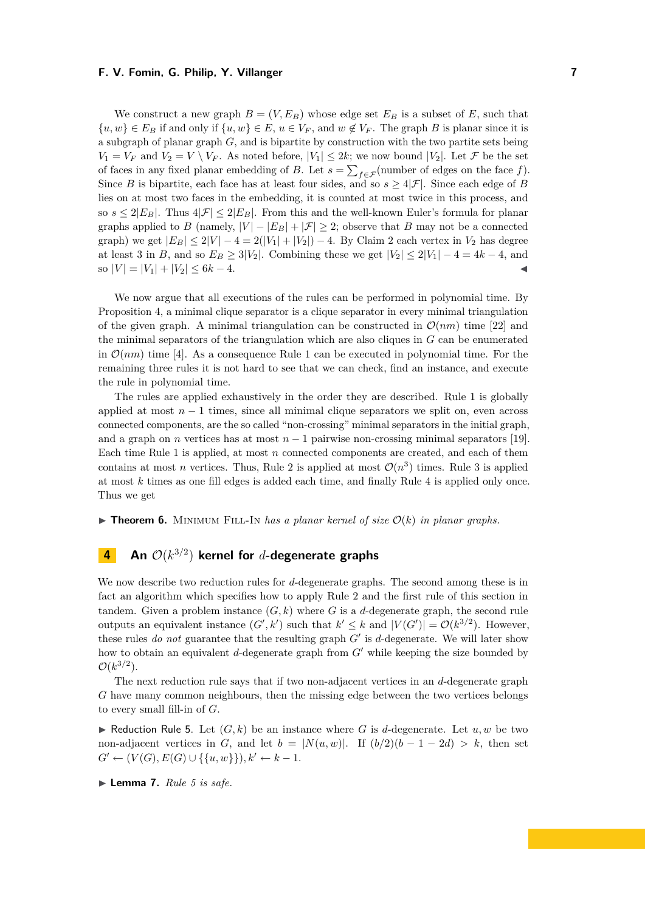We construct a new graph  $B = (V, E_B)$  whose edge set  $E_B$  is a subset of E, such that  $\{u, w\} \in E_B$  if and only if  $\{u, w\} \in E$ ,  $u \in V_F$ , and  $w \notin V_F$ . The graph *B* is planar since it is a subgraph of planar graph *G*, and is bipartite by construction with the two partite sets being  $V_1 = V_F$  and  $V_2 = V \setminus V_F$ . As noted before,  $|V_1| \leq 2k$ ; we now bound  $|V_2|$ . Let  $\mathcal F$  be the set of faces in any fixed planar embedding of *B*. Let  $s = \sum_{f \in \mathcal{F}}$  (number of edges on the face *f*). Since *B* is bipartite, each face has at least four sides, and so  $s > 4|\mathcal{F}|$ . Since each edge of *B* lies on at most two faces in the embedding, it is counted at most twice in this process, and so  $s \leq 2|E_B|$ . Thus  $4|\mathcal{F}| \leq 2|E_B|$ . From this and the well-known Euler's formula for planar graphs applied to *B* (namely,  $|V| - |E_B| + |\mathcal{F}| \geq 2$ ; observe that *B* may not be a connected graph) we get  $|E_B| \leq 2|V| - 4 = 2(|V_1| + |V_2|) - 4$ . By [Claim 2](#page-5-2) each vertex in  $V_2$  has degree at least 3 in *B*, and so  $E_B \ge 3|V_2|$ . Combining these we get  $|V_2| \le 2|V_1| - 4 = 4k - 4$ , and  $\text{so } |V| = |V_1| + |V_2| \leq 6k - 4.$ 

We now argue that all executions of the rules can be performed in polynomial time. By Proposition [4,](#page-3-1) a minimal clique separator is a clique separator in every minimal triangulation of the given graph. A minimal triangulation can be constructed in  $\mathcal{O}(nm)$  time [\[22\]](#page-11-17) and the minimal separators of the triangulation which are also cliques in *G* can be enumerated in  $\mathcal{O}(nm)$  time [\[4\]](#page-10-6). As a consequence Rule [1](#page-4-1) can be executed in polynomial time. For the remaining three rules it is not hard to see that we can check, find an instance, and execute the rule in polynomial time.

The rules are applied exhaustively in the order they are described. Rule [1](#page-4-1) is globally applied at most  $n-1$  times, since all minimal clique separators we split on, even across connected components, are the so called "non-crossing" minimal separators in the initial graph, and a graph on *n* vertices has at most  $n-1$  pairwise non-crossing minimal separators [\[19\]](#page-11-18). Each time Rule [1](#page-4-1) is applied, at most *n* connected components are created, and each of them contains at most *n* vertices. Thus, Rule [2](#page-4-0) is applied at most  $\mathcal{O}(n^3)$  times. Rule [3](#page-5-0) is applied at most *k* times as one fill edges is added each time, and finally Rule [4](#page-5-1) is applied only once. Thus we get

<span id="page-6-3"></span> $\triangleright$  **Theorem 6.** MINIMUM FILL-IN has a planar kernel of size  $\mathcal{O}(k)$  in planar graphs.

# <span id="page-6-0"></span>**4 An** O(*k* 3*/*2 ) **kernel for** *d***-degenerate graphs**

We now describe two reduction rules for *d*-degenerate graphs. The second among these is in fact an algorithm which specifies how to apply Rule [2](#page-4-0) and the first rule of this section in tandem. Given a problem instance  $(G, k)$  where G is a d-degenerate graph, the second rule outputs an equivalent instance  $(G', k')$  such that  $k' \leq k$  and  $|V(G')| = \mathcal{O}(k^{3/2})$ . However, these rules *do not* guarantee that the resulting graph  $G'$  is *d*-degenerate. We will later show how to obtain an equivalent *d*-degenerate graph from *G'* while keeping the size bounded by  $\mathcal{O}(k^{3/2})$ .

The next reduction rule says that if two non-adjacent vertices in an *d*-degenerate graph *G* have many common neighbours, then the missing edge between the two vertices belongs to every small fill-in of *G*.

<span id="page-6-1"></span> $\blacktriangleright$  Reduction Rule 5. Let  $(G, k)$  be an instance where G is d-degenerate. Let  $u, w$  be two non-adjacent vertices in *G*, and let  $b = |N(u, w)|$ . If  $(b/2)(b - 1 - 2d) > k$ , then set *G*<sup> $\prime$ </sup> ← (*V*(*G*)*, E*(*G*) ∪ {{*u, w*}})*, k*<sup> $\prime$ </sup> ← *k* − 1.

<span id="page-6-2"></span> $\blacktriangleright$  **Lemma 7.** *Rule* [5](#page-6-1) *is safe.*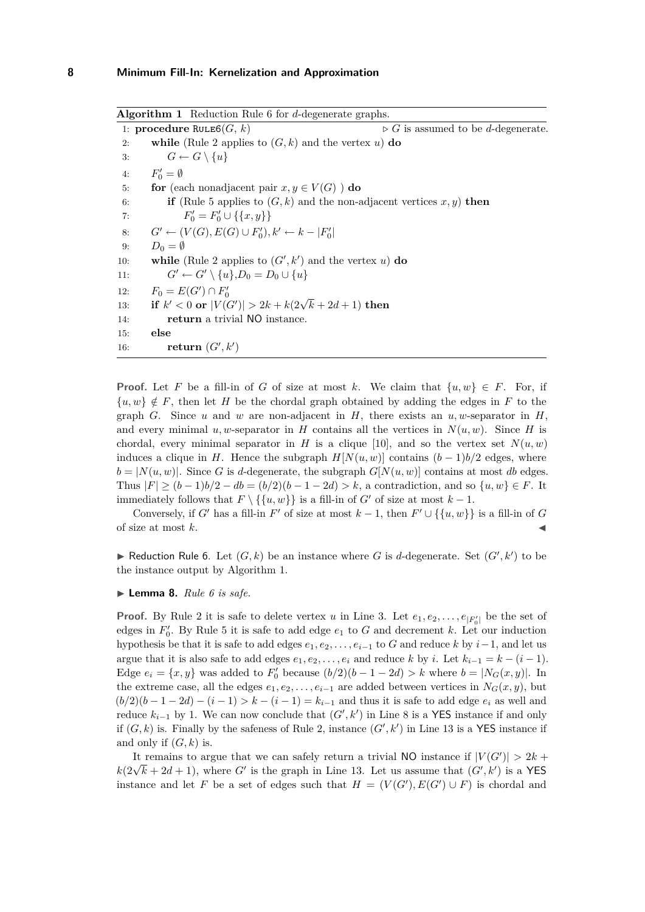**Algorithm 1** [Reduction Rule 6](#page-7-0) for *d*-degenerate graphs. 1: **procedure** RULE6(*G*, *k*)  $\triangleright$  *G* is assumed to be *d*-degenerate. 2: **while** (Rule [2](#page-4-0) applies to  $(G, k)$  and the vertex  $u$ ) **do** 3:  $G \leftarrow G \setminus \{u\}$ 4: *F*  $v'_0 = \emptyset$ 5: **for** (each nonadjacent pair  $x, y \in V(G)$ ) **do** 6: **if** (Rule [5](#page-6-1) applies to  $(G, k)$  and the non-adjacent vertices  $x, y$ ) **then** 7:  $F'_0 = F'_0 \cup \{\{x, y\}\}\$ 8: *G*<sup>*'*</sup> ←  $(V(G), E(G) \cup F'_{0}), k'$  ←  $k - |F'_{0}|$ 9:  $D_0 = \emptyset$ 10: **while** (Rule [2](#page-4-0) applies to  $(G', k')$  and the vertex *u*) **do** 11:  $G' \leftarrow G' \setminus \{u\}, D_0 = D_0 \cup \{u\}$ 12:  $F_0 = E(G') \cap F'_0$ 12:  $r_0 = E(G) \cap r_0$ <br>
13: **if**  $k' < 0$  or  $|V(G')| > 2k + k(2\sqrt{k} + 2d + 1)$  then 14: **return** a trivial NO instance. 15: **else** 16: **return**  $(G', k')$ 

**Proof.** Let F be a fill-in of G of size at most k. We claim that  $\{u, w\} \in F$ . For, if  ${u, w} \notin F$ , then let *H* be the chordal graph obtained by adding the edges in *F* to the graph *G*. Since *u* and *w* are non-adjacent in *H*, there exists an *u*, *w*-separator in *H*, and every minimal *u, w*-separator in *H* contains all the vertices in  $N(u, w)$ . Since *H* is chordal, every minimal separator in *H* is a clique [\[10\]](#page-11-19), and so the vertex set  $N(u, w)$ induces a clique in *H*. Hence the subgraph  $H[N(u, w)]$  contains  $(b - 1)b/2$  edges, where  $b = |N(u, w)|$ . Since *G* is *d*-degenerate, the subgraph  $G[N(u, w)]$  contains at most *db* edges. Thus  $|F| > (b-1)b/2 - db = (b/2)(b-1-2d) > k$ , a contradiction, and so  $\{u, w\} \in F$ . It immediately follows that  $F \setminus {\{u, w\}}$  is a fill-in of *G'* of size at most  $k - 1$ .

Conversely, if *G*<sup> $\prime$ </sup> has a fill-in *F*<sup> $\prime$ </sup> of size at most  $k-1$ , then  $F' \cup \{\{u, w\}\}\$ is a fill-in of *G* of size at most *k*. J

<span id="page-7-0"></span>Reduction Rule 6. Let  $(G, k)$  be an instance where G is d-degenerate. Set  $(G', k')$  to be the instance output by Algorithm [1.](#page-0-0)

#### $\blacktriangleright$  **Lemma 8.** *Rule* [6](#page-7-0) *is safe.*

**Proof.** By Rule [2](#page-4-0) it is safe to delete vertex *u* in Line [3.](#page-6-2) Let  $e_1, e_2, \ldots, e_{|F_0'|}$  be the set of edges in  $F'_0$ . By Rule [5](#page-6-1) it is safe to add edge  $e_1$  to  $G$  and decrement  $k$ . Let our induction hypothesis be that it is safe to add edges  $e_1, e_2, \ldots, e_{i-1}$  to *G* and reduce *k* by  $i-1$ , and let us argue that it is also safe to add edges  $e_1, e_2, \ldots, e_i$  and reduce  $k$  by  $i$ . Let  $k_{i-1} = k - (i-1)$ . Edge  $e_i = \{x, y\}$  was added to  $F'_0$  because  $(b/2)(b-1-2d) > k$  where  $b = |N_G(x, y)|$ . In the extreme case, all the edges  $e_1, e_2, \ldots, e_{i-1}$  are added between vertices in  $N_G(x, y)$ , but  $(b/2)(b-1-2d) - (i-1) > k - (i-1) = k_{i-1}$  and thus it is safe to add edge  $e_i$  as well and reduce  $k_{i-1}$  by 1. We can now conclude that  $(G', k')$  in Line [8](#page-6-2) is a YES instance if and only if  $(G, k)$  is. Finally by the safeness of Rule [2,](#page-4-0) instance  $(G', k')$  in Line [13](#page-6-2) is a YES instance if and only if  $(G, k)$  is.

It remains to argue that we can safely return a trivial NO instance if  $|V(G')| > 2k +$ *k*( $2\sqrt{k} + 2d + 1$ ), where *G*<sup>0</sup> is the graph in Line [13.](#page-6-2) Let us assume that  $(G', k')$  is a YES instance and let *F* be a set of edges such that  $H = (V(G'), E(G') \cup F)$  is chordal and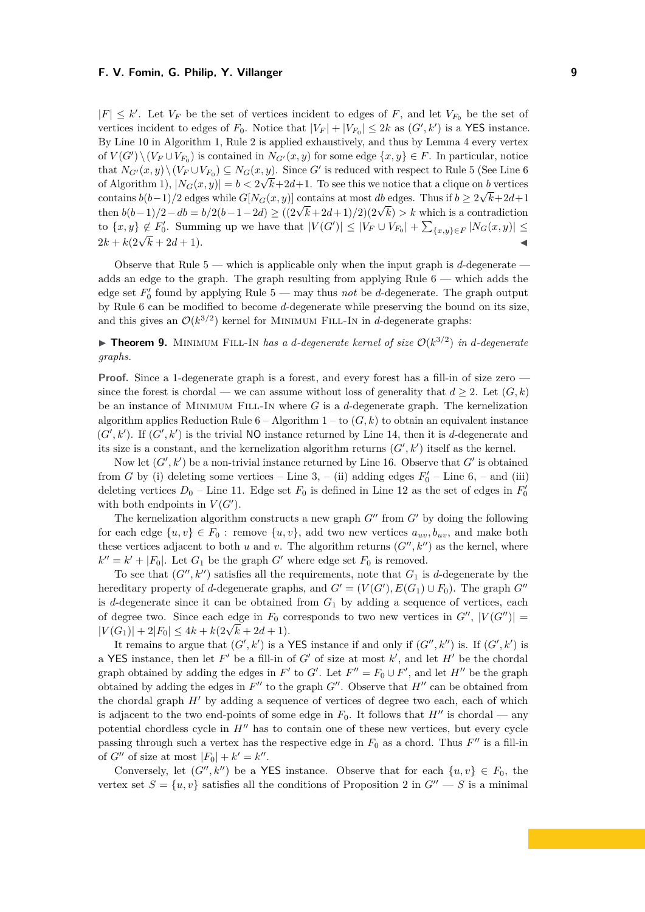$|F| \leq k'$ . Let  $V_F$  be the set of vertices incident to edges of *F*, and let  $V_{F_0}$  be the set of vertices incident to edges of  $F_0$ . Notice that  $|V_F| + |V_{F_0}| \leq 2k$  as  $(G', k')$  is a YES instance. By Line [10](#page-6-2) in Algorithm [1,](#page-0-0) Rule [2](#page-4-0) is applied exhaustively, and thus by Lemma [4](#page-5-3) every vertex of  $V(G') \setminus (V_F \cup V_{F_0})$  is contained in  $N_{G'}(x, y)$  for some edge  $\{x, y\} \in F$ . In particular, notice that  $N_{G'}(x, y) \setminus (V_F \cup V_{F_0}) \subseteq N_G(x, y)$ . Since G' is reduced with respect to Rule [5](#page-6-1) (See Line [6](#page-6-2)) of Algorithm [1\)](#page-0-0),  $|N_G(x, y)| = b < 2\sqrt{k+2d+1}$ . To see this we notice that a clique on *b* vertices contains  $b(b-1)/2$  edges while  $G[N_G(x, y)]$  contains at most *db* edges. Thus if  $b \ge 2\sqrt{k+2d+1}$ then  $b(b-1)/2 - db = b/2(b-1-2d) \ge ((2\sqrt{k}+2d+1)/2)(2\sqrt{k}) > k$  which is a contradiction to  $\{x, y\} \notin F'_0$ . Summing up we have that  $|V(G')| \leq |V_F \cup V_{F_0}| + \sum_{\{x, y\} \in F} |N_G(x, y)| \leq$  $2k + k(2\sqrt{k} + 2d + 1).$  <br>  $2k + k(2\sqrt{k} + 2d + 1).$  <br>
■

Observe that Rule [5](#page-6-1) — which is applicable only when the input graph is *d*-degenerate adds an edge to the graph. The graph resulting from applying Rule [6](#page-7-0) — which adds the edge set  $F'_0$  found by applying Rule [5](#page-6-1) — may thus *not* be *d*-degenerate. The graph output by Rule [6](#page-7-0) can be modified to become *d*-degenerate while preserving the bound on its size, and this gives an  $\mathcal{O}(k^{3/2})$  kernel for MINIMUM FILL-IN in *d*-degenerate graphs:

<span id="page-8-0"></span>**Theorem 9.** MINIMUM FILL-IN has a d-degenerate kernel of size  $O(k^{3/2})$  in d-degenerate *graphs.*

**Proof.** Since a 1-degenerate graph is a forest, and every forest has a fill-in of size zero since the forest is chordal — we can assume without loss of generality that  $d \geq 2$ . Let  $(G, k)$ be an instance of Minimum Fill-In where *G* is a *d*-degenerate graph. The kernelization algorithm applies Reduction Rule  $6 -$  Algorithm  $1 -$  to  $(G, k)$  to obtain an equivalent instance  $(G', k')$ . If  $(G', k')$  is the trivial NO instance returned by Line [14,](#page-6-2) then it is *d*-degenerate and its size is a constant, and the kernelization algorithm returns  $(G', k')$  itself as the kernel.

Now let  $(G', k')$  be a non-trivial instance returned by Line [16.](#page-6-2) Observe that  $G'$  is obtained from *G* by (i) deleting some vertices – Line [3,](#page-6-2) – (ii) adding edges  $F'_0$  – Line [6,](#page-6-2) – and (iii) deleting vertices  $D_0$  – Line [11.](#page-6-2) Edge set  $F_0$  is defined in Line [12](#page-6-2) as the set of edges in  $F'_0$ with both endpoints in  $V(G')$ .

The kernelization algorithm constructs a new graph  $G''$  from  $G'$  by doing the following for each edge  $\{u, v\} \in F_0$ : remove  $\{u, v\}$ , add two new vertices  $a_{uv}, b_{uv}$ , and make both these vertices adjacent to both  $u$  and  $v$ . The algorithm returns  $(G'', k'')$  as the kernel, where  $k'' = k' + |F_0|$ . Let  $G_1$  be the graph  $G'$  where edge set  $F_0$  is removed.

To see that  $(G'', k'')$  satisfies all the requirements, note that  $G_1$  is *d*-degenerate by the hereditary property of *d*-degenerate graphs, and  $G' = (V(G'), E(G_1) \cup F_0)$ . The graph  $G''$ is *d*-degenerate since it can be obtained from  $G_1$  by adding a sequence of vertices, each of degree two. Since each edge in  $F_0$  corresponds to two new vertices in  $G''$ ,  $|V(G'')|$  =  $|V(G_1)| + 2|F_0| \leq 4k + k(2\sqrt{k} + 2d + 1).$ 

It remains to argue that  $(G', k')$  is a YES instance if and only if  $(G'', k'')$  is. If  $(G', k')$  is a YES instance, then let  $F'$  be a fill-in of  $G'$  of size at most  $k'$ , and let  $H'$  be the chordal graph obtained by adding the edges in  $F'$  to  $G'$ . Let  $F'' = F_0 \cup F'$ , and let  $H''$  be the graph obtained by adding the edges in  $F''$  to the graph  $G''$ . Observe that  $H''$  can be obtained from the chordal graph  $H'$  by adding a sequence of vertices of degree two each, each of which is adjacent to the two end-points of some edge in  $F_0$ . It follows that  $H''$  is chordal — any potential chordless cycle in  $H''$  has to contain one of these new vertices, but every cycle passing through such a vertex has the respective edge in  $F_0$  as a chord. Thus  $F''$  is a fill-in of  $G''$  of size at most  $|F_0| + k' = k''$ .

Conversely, let  $(G'', k'')$  be a YES instance. Observe that for each  $\{u, v\} \in F_0$ , the vertex set  $S = \{u, v\}$  satisfies all the conditions of Proposition [2](#page-3-3) in  $G'' - S$  is a minimal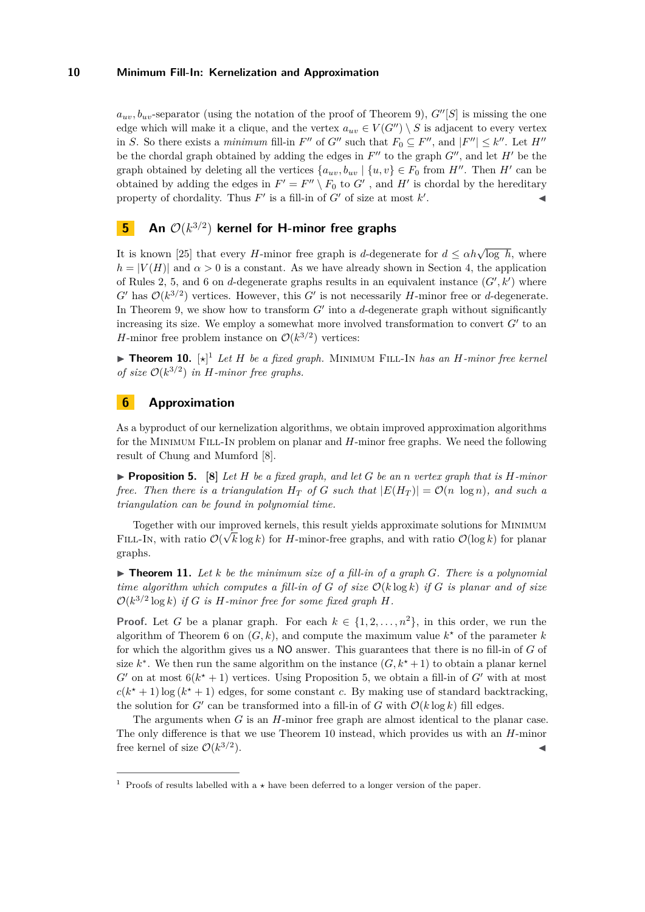$a_{uv}$ ,  $b_{uv}$ -separator (using the notation of the proof of Theorem [9\)](#page-8-0),  $G''[S]$  is missing the one edge which will make it a clique, and the vertex  $a_{uv} \in V(G'') \setminus S$  is adjacent to every vertex in *S*. So there exists a *minimum* fill-in  $F''$  of  $G''$  such that  $F_0 \subseteq F''$ , and  $|F''| \leq k''$ . Let  $H''$ be the chordal graph obtained by adding the edges in  $F''$  to the graph  $G''$ , and let  $H'$  be the graph obtained by deleting all the vertices  $\{a_{uv}, b_{uv} \mid \{u, v\} \in F_0 \text{ from } H''$ . Then *H'* can be obtained by adding the edges in  $F' = F'' \setminus F_0$  to  $G'$ , and  $H'$  is chordal by the hereditary property of chordality. Thus  $F'$  is a fill-in of  $G'$  of size at most  $k'$ . John J. J. J. J.

# <span id="page-9-0"></span>**5 An** O(*k* 3*/*2 ) **kernel for H-minor free graphs**

It is known [\[25\]](#page-11-20) that every *H*-minor free graph is *d*-degenerate for  $d \leq \alpha h \sqrt{\log h}$ , where  $h = |V(H)|$  and  $\alpha > 0$  is a constant. As we have already shown in Section [4,](#page-6-0) the application of Rules [2,](#page-4-0) [5,](#page-6-1) and [6](#page-7-0) on *d*-degenerate graphs results in an equivalent instance  $(G', k')$  where  $G'$  has  $\mathcal{O}(k^{3/2})$  vertices. However, this  $G'$  is not necessarily *H*-minor free or *d*-degenerate. In Theorem [9,](#page-8-0) we show how to transform  $G'$  into a  $d$ -degenerate graph without significantly increasing its size. We employ a somewhat more involved transformation to convert  $G'$  to an *H*-minor free problem instance on  $\mathcal{O}(k^{3/2})$  vertices:

<span id="page-9-3"></span>**Theorem 10.**  $[\star]^1$  *Let H be a fixed graph.* MINIMUM FILL-IN *has an H-minor free kernel of size*  $\mathcal{O}(k^{3/2})$  *in H-minor free graphs.* 

# <span id="page-9-1"></span>**6 Approximation**

As a byproduct of our kernelization algorithms, we obtain improved approximation algorithms for the Minimum Fill-In problem on planar and *H*-minor free graphs. We need the following result of Chung and Mumford [\[8\]](#page-11-6).

<span id="page-9-2"></span>**• Proposition 5.** [\[8\]](#page-11-6) Let  $H$  be a fixed graph, and let  $G$  be an  $n$  vertex graph that is  $H$ *-minor free. Then there is a triangulation*  $H_T$  *of G such that*  $|E(H_T)| = O(n \log n)$ *, and such a triangulation can be found in polynomial time.*

Together with our improved kernels, this result yields approximate solutions for MINIMUM FILL-IN, with ratio  $\mathcal{O}(\sqrt{k} \log k)$  for *H*-minor-free graphs, and with ratio  $\mathcal{O}(\log k)$  for planar graphs.

 $\triangleright$  **Theorem 11.** Let *k* be the minimum size of a fill-in of a graph G. There is a polynomial *time algorithm which computes a fill-in of*  $G$  *of size*  $O(k \log k)$  *if*  $G$  *is planar and of size*  $\mathcal{O}(k^{3/2} \log k)$  *if G is H-minor free for some fixed graph H*.

**Proof.** Let *G* be a planar graph. For each  $k \in \{1, 2, ..., n^2\}$ , in this order, we run the algorithm of Theorem [6](#page-6-3) on  $(G, k)$ , and compute the maximum value  $k^*$  of the parameter  $k$ for which the algorithm gives us a NO answer. This guarantees that there is no fill-in of *G* of size  $k^*$ . We then run the same algorithm on the instance  $(G, k^* + 1)$  to obtain a planar kernel  $G'$  on at most  $6(k^* + 1)$  vertices. Using Proposition [5,](#page-9-2) we obtain a fill-in of  $G'$  with at most  $c(k^* + 1)$ log ( $k^* + 1$ ) edges, for some constant *c*. By making use of standard backtracking, the solution for  $G'$  can be transformed into a fill-in of  $G$  with  $\mathcal{O}(k \log k)$  fill edges.

The arguments when *G* is an *H*-minor free graph are almost identical to the planar case. The only difference is that we use Theorem [10](#page-9-3) instead, which provides us with an *H*-minor free kernel of size  $\mathcal{O}(k^{3/2})$  $\blacksquare$ ).

<sup>&</sup>lt;sup>1</sup> Proofs of results labelled with  $a \star$  have been deferred to a longer version of the paper.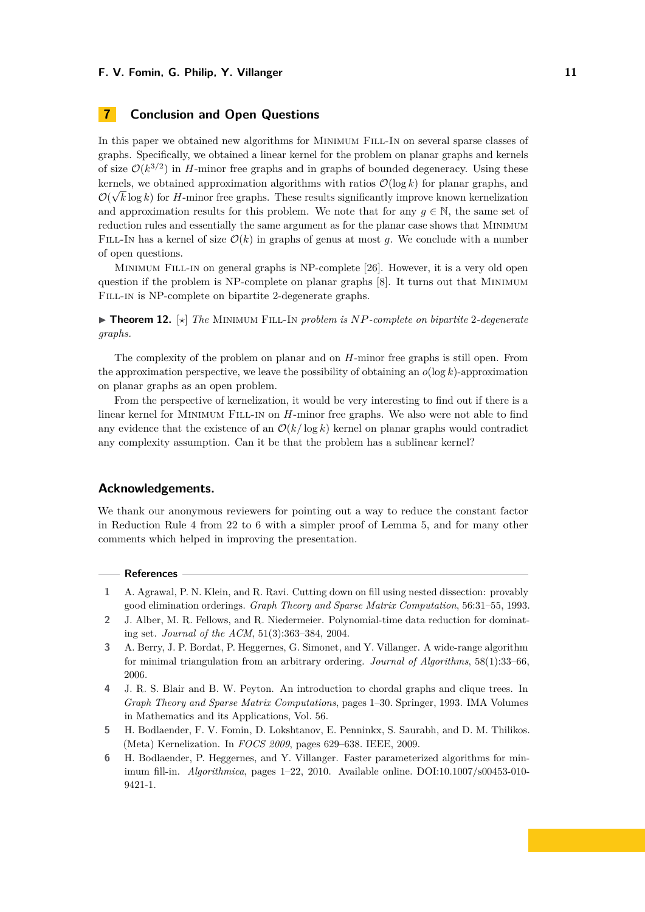# <span id="page-10-4"></span>**7 Conclusion and Open Questions**

In this paper we obtained new algorithms for MINIMUM FILL-IN on several sparse classes of graphs. Specifically, we obtained a linear kernel for the problem on planar graphs and kernels of size  $\mathcal{O}(k^{3/2})$  in *H*-minor free graphs and in graphs of bounded degeneracy. Using these kernels, we obtained approximation algorithms with ratios  $\mathcal{O}(\log k)$  for planar graphs, and  $\mathcal{O}(\sqrt{k}\log k)$  for *H*-minor free graphs. These results significantly improve known kernelization and approximation results for this problem. We note that for any  $g \in \mathbb{N}$ , the same set of reduction rules and essentially the same argument as for the planar case shows that Minimum FILL-IN has a kernel of size  $\mathcal{O}(k)$  in graphs of genus at most g. We conclude with a number of open questions.

Minimum Fill-in on general graphs is NP-complete [\[26\]](#page-11-4). However, it is a very old open question if the problem is NP-complete on planar graphs [\[8\]](#page-11-6). It turns out that Minimum FILL-IN is NP-complete on bipartite 2-degenerate graphs.

▶ **Theorem 12.**  $\lbrack \star \rbrack$  *The* MINIMUM FILL-IN *problem is NP*-complete on bipartite 2-degenerate *graphs.*

The complexity of the problem on planar and on *H*-minor free graphs is still open. From the approximation perspective, we leave the possibility of obtaining an  $o(\log k)$ -approximation on planar graphs as an open problem.

From the perspective of kernelization, it would be very interesting to find out if there is a linear kernel for MINIMUM FILL-IN on *H*-minor free graphs. We also were not able to find any evidence that the existence of an  $\mathcal{O}(k/\log k)$  kernel on planar graphs would contradict any complexity assumption. Can it be that the problem has a sublinear kernel?

### **Acknowledgements.**

We thank our anonymous reviewers for pointing out a way to reduce the constant factor in [Reduction Rule 4](#page-5-1) from 22 to 6 with a simpler proof of Lemma [5,](#page-5-4) and for many other comments which helped in improving the presentation.

#### **References**

- <span id="page-10-0"></span>**1** A. Agrawal, P. N. Klein, and R. Ravi. Cutting down on fill using nested dissection: provably good elimination orderings. *Graph Theory and Sparse Matrix Computation*, 56:31–55, 1993.
- <span id="page-10-2"></span>**2** J. Alber, M. R. Fellows, and R. Niedermeier. Polynomial-time data reduction for dominating set. *Journal of the ACM*, 51(3):363–384, 2004.
- <span id="page-10-5"></span>**3** A. Berry, J. P. Bordat, P. Heggernes, G. Simonet, and Y. Villanger. A wide-range algorithm for minimal triangulation from an arbitrary ordering. *Journal of Algorithms*, 58(1):33–66, 2006.
- <span id="page-10-6"></span>**4** J. R. S. Blair and B. W. Peyton. An introduction to chordal graphs and clique trees. In *Graph Theory and Sparse Matrix Computations*, pages 1–30. Springer, 1993. IMA Volumes in Mathematics and its Applications, Vol. 56.
- <span id="page-10-3"></span>**5** H. Bodlaender, F. V. Fomin, D. Lokshtanov, E. Penninkx, S. Saurabh, and D. M. Thilikos. (Meta) Kernelization. In *FOCS 2009*, pages 629–638. IEEE, 2009.
- <span id="page-10-1"></span>**6** H. Bodlaender, P. Heggernes, and Y. Villanger. Faster parameterized algorithms for minimum fill-in. *Algorithmica*, pages 1–22, 2010. Available online. DOI:10.1007/s00453-010- 9421-1.